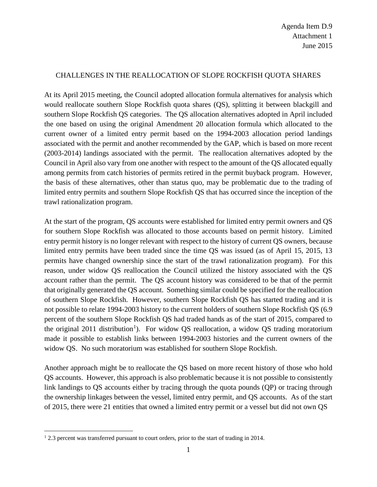## CHALLENGES IN THE REALLOCATION OF SLOPE ROCKFISH QUOTA SHARES

At its April 2015 meeting, the Council adopted allocation formula alternatives for analysis which would reallocate southern Slope Rockfish quota shares (QS), splitting it between blackgill and southern Slope Rockfish QS categories. The QS allocation alternatives adopted in April included the one based on using the original Amendment 20 allocation formula which allocated to the current owner of a limited entry permit based on the 1994-2003 allocation period landings associated with the permit and another recommended by the GAP, which is based on more recent (2003-2014) landings associated with the permit. The reallocation alternatives adopted by the Council in April also vary from one another with respect to the amount of the QS allocated equally among permits from catch histories of permits retired in the permit buyback program. However, the basis of these alternatives, other than status quo, may be problematic due to the trading of limited entry permits and southern Slope Rockfish QS that has occurred since the inception of the trawl rationalization program.

At the start of the program, QS accounts were established for limited entry permit owners and QS for southern Slope Rockfish was allocated to those accounts based on permit history. Limited entry permit history is no longer relevant with respect to the history of current QS owners, because limited entry permits have been traded since the time QS was issued (as of April 15, 2015, 13 permits have changed ownership since the start of the trawl rationalization program). For this reason, under widow QS reallocation the Council utilized the history associated with the QS account rather than the permit. The QS account history was considered to be that of the permit that originally generated the QS account. Something similar could be specified for the reallocation of southern Slope Rockfish. However, southern Slope Rockfish QS has started trading and it is not possible to relate 1994-2003 history to the current holders of southern Slope Rockfish QS (6.9 percent of the southern Slope Rockfish QS had traded hands as of the start of 2015, compared to the original 20[1](#page-0-0)1 distribution<sup>1</sup>). For widow QS reallocation, a widow QS trading moratorium made it possible to establish links between 1994-2003 histories and the current owners of the widow QS. No such moratorium was established for southern Slope Rockfish.

Another approach might be to reallocate the QS based on more recent history of those who hold QS accounts. However, this approach is also problematic because it is not possible to consistently link landings to QS accounts either by tracing through the quota pounds (QP) or tracing through the ownership linkages between the vessel, limited entry permit, and QS accounts. As of the start of 2015, there were 21 entities that owned a limited entry permit or a vessel but did not own QS

<span id="page-0-0"></span><sup>&</sup>lt;sup>1</sup> 2.3 percent was transferred pursuant to court orders, prior to the start of trading in 2014.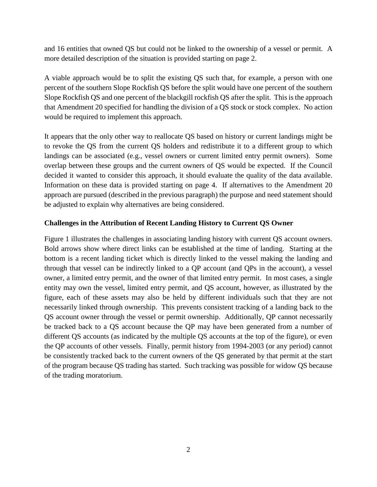and 16 entities that owned QS but could not be linked to the ownership of a vessel or permit. A more detailed description of the situation is provided starting on page [2.](#page-1-0)

A viable approach would be to split the existing QS such that, for example, a person with one percent of the southern Slope Rockfish QS before the split would have one percent of the southern Slope Rockfish QS and one percent of the blackgill rockfish QS after the split. This is the approach that Amendment 20 specified for handling the division of a QS stock or stock complex. No action would be required to implement this approach.

It appears that the only other way to reallocate QS based on history or current landings might be to revoke the QS from the current QS holders and redistribute it to a different group to which landings can be associated (e.g., vessel owners or current limited entry permit owners). Some overlap between these groups and the current owners of QS would be expected. If the Council decided it wanted to consider this approach, it should evaluate the quality of the data available. Information on these data is provided starting on page [4.](#page-3-0) If alternatives to the Amendment 20 approach are pursued (described in the previous paragraph) the purpose and need statement should be adjusted to explain why alternatives are being considered.

## <span id="page-1-0"></span>**Challenges in the Attribution of Recent Landing History to Current QS Owner**

Figure 1 illustrates the challenges in associating landing history with current QS account owners. Bold arrows show where direct links can be established at the time of landing. Starting at the bottom is a recent landing ticket which is directly linked to the vessel making the landing and through that vessel can be indirectly linked to a QP account (and QPs in the account), a vessel owner, a limited entry permit, and the owner of that limited entry permit. In most cases, a single entity may own the vessel, limited entry permit, and QS account, however, as illustrated by the figure, each of these assets may also be held by different individuals such that they are not necessarily linked through ownership. This prevents consistent tracking of a landing back to the QS account owner through the vessel or permit ownership. Additionally, QP cannot necessarily be tracked back to a QS account because the QP may have been generated from a number of different QS accounts (as indicated by the multiple QS accounts at the top of the figure), or even the QP accounts of other vessels. Finally, permit history from 1994-2003 (or any period) cannot be consistently tracked back to the current owners of the QS generated by that permit at the start of the program because QS trading has started. Such tracking was possible for widow QS because of the trading moratorium.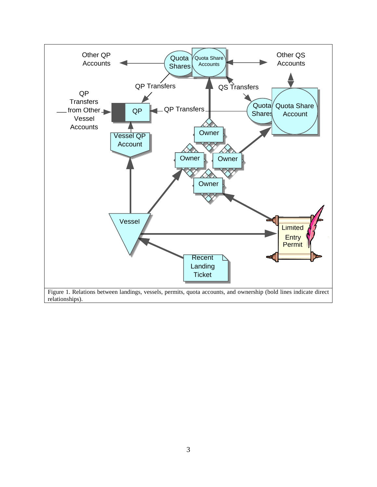